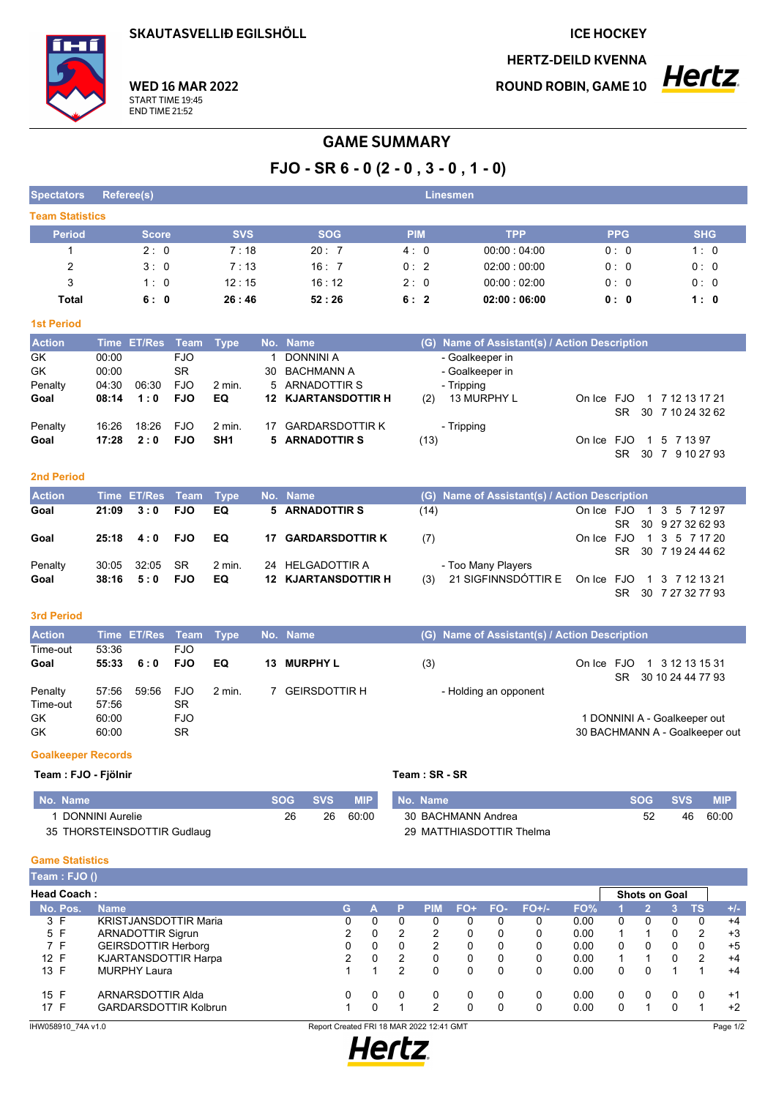**SKAUTASVELLIÐ EGILSHÖLL** 

**ICE HOCKEY** 

**HERTZ-DEILD KVENNA** 

**ROUND ROBIN, GAME 10** 



#### **WED 16 MAR 2022** START TIME 19:45 **END TIME 21:52**

# **GAME SUMMARY**

FJO - SR  $6 - 0$  (2 - 0, 3 - 0, 1 - 0)

| <b>Spectators</b>      | Referee(s)   |            |            | <b>Linesmen</b> |             |            |            |
|------------------------|--------------|------------|------------|-----------------|-------------|------------|------------|
| <b>Team Statistics</b> |              |            |            |                 |             |            |            |
| <b>Period</b>          | <b>Score</b> | <b>SVS</b> | <b>SOG</b> | <b>PIM</b>      | <b>TPP</b>  | <b>PPG</b> | <b>SHG</b> |
|                        | 2:0          | 7:18       | 20:7       | 4:0             | 00:00:04:00 | 0:0        | 1:0        |
| 2                      | 3:0          | 7:13       | 16:7       | 0:2             | 02:00:00:00 | 0:0        | 0:0        |
| 3                      | 1:0          | 12:15      | 16:12      | 2:0             | 00.00:02.00 | 0:0        | 0:0        |
| Total                  | 6:0          | 26:46      | 52:26      | 6:2             | 02:00:06:00 | 0: 0       | 1:0        |

# **1st Period**

| <b>Action</b> |       | Time ET/Res Team Type |            |                 | No. Name                   | (G) Name of Assistant(s) / Action Description |                            |
|---------------|-------|-----------------------|------------|-----------------|----------------------------|-----------------------------------------------|----------------------------|
| <b>GK</b>     | 00:00 |                       | FJO.       |                 | 1 DONNINI A                | - Goalkeeper in                               |                            |
| <b>GK</b>     | 00:00 |                       | SR.        |                 | 30 BACHMANN A              | - Goalkeeper in                               |                            |
| Penalty       | 04:30 | 06:30                 | FJO        | 2 min.          | 5 ARNADOTTIR S             | - Tripping                                    |                            |
| Goal          | 08:14 | 1:0                   | <b>FJO</b> | EQ.             | <b>12 KJARTANSDOTTIR H</b> | 13 MURPHY L<br>(2)                            | On Ice FJO 1 7 12 13 17 21 |
|               |       |                       |            |                 |                            |                                               | 30 7 10 24 32 62<br>SR.    |
| Penalty       | 16.26 | 18:26                 | FJO.       | 2 min.          | 17 GARDARSDOTTIR K         | - Tripping                                    |                            |
| Goal          | 17:28 | 2:0                   | <b>FJO</b> | SH <sub>1</sub> | 5 ARNADOTTIR S             | (13)                                          | On Ice FJO 1 5 7 13 97     |
|               |       |                       |            |                 |                            |                                               | 30 7 9 10 27 93<br>SR.     |

#### **2nd Period**

| <b>Action</b>   |       | Time ET/Res Team Type           |            |                 | No. Name                                       |      | (G) Name of Assistant(s) / Action Description                                                 |
|-----------------|-------|---------------------------------|------------|-----------------|------------------------------------------------|------|-----------------------------------------------------------------------------------------------|
| Goal            | 21:09 | 3:0 FJO                         |            | EQ.             | 5 ARNADOTTIR S                                 | (14) | On Ice FJO 1 3 5 7 12 97<br>SR 30 9 27 32 62 93                                               |
| Goal            |       | 25:18  4:0  FJO                 |            | EQ              | <b>17 GARDARSDOTTIR K</b>                      | (7)  | On Ice FJO 1 3 5 7 17 20<br>SR 30 7 19 24 44 62                                               |
| Penalty<br>Goal |       | 30.05 32:05 SR<br>$38:16$ $5:0$ | <b>FJO</b> | $2$ min.<br>EQ. | 24 HELGADOTTIR A<br><b>12 KJARTANSDOTTIR H</b> | (3)  | - Too Many Players<br>21 SIGFINNSDÓTTIR E On Ice FJO 1 3 7 12 13 21<br>30 7 27 32 77 93<br>SR |

### 3rd Period

| <b>Action</b>                   |                                  | Time ET/Res Team Type |                                        |        | No. Name      |     | (G) Name of Assistant(s) / Action Description |                  |                                                                |
|---------------------------------|----------------------------------|-----------------------|----------------------------------------|--------|---------------|-----|-----------------------------------------------|------------------|----------------------------------------------------------------|
| Time-out<br>Goal                | 53:36<br>55:33                   | 6:0                   | <b>FJO</b><br><b>FJO</b>               | EQ     | 13 MURPHY L   | (3) |                                               | On Ice FJO<br>SR | 1 3 12 13 15 31<br>30 10 24 44 77 93                           |
| Penalty<br>Time-out<br>GK<br>GK | 57:56<br>57:56<br>60:00<br>60:00 | 59:56                 | <b>FJO</b><br>SR.<br><b>FJO</b><br>SR. | 2 min. | GEIRSDOTTIR H |     | - Holding an opponent                         |                  | 1 DONNINI A - Goalkeeper out<br>30 BACHMANN A - Goalkeeper out |

# **Goalkeeper Records**

# Team : FJO - Fjölnir

| No. Name                    | ⊧SOG SVS | <b>MIP</b> |
|-----------------------------|----------|------------|
| 1 DONNINI Aurelie           | 26       | 60.00      |
| 35 THORSTEINSDOTTIR Gudlaug |          |            |

# Team: SR - SR

| No. Name                 | ⊧SOG SVS ' |     | MIP'  |
|--------------------------|------------|-----|-------|
| 30 BACHMANN Andrea       | 52.        | 46. | 60.00 |
| 29 MATTHIASDOTTIR Thelma |            |     |       |

### **Game Statistics**

| Team : FJO ()      |                              |    |   |   |            |     |     |         |      |   |                      |   |                |       |
|--------------------|------------------------------|----|---|---|------------|-----|-----|---------|------|---|----------------------|---|----------------|-------|
| <b>Head Coach:</b> |                              |    |   |   |            |     |     |         |      |   | <b>Shots on Goal</b> |   |                |       |
| No. Pos.           | <b>Name</b>                  | G. |   |   | <b>PIM</b> | FO+ | FO- | $FO+/-$ | FO%  |   |                      |   | TS             | $+/-$ |
| 3 F                | <b>KRISTJANSDOTTIR Maria</b> |    |   |   | 0          | 0   |     |         | 0.00 | 0 |                      | 0 | 0              | $+4$  |
| 5 F                | <b>ARNADOTTIR Sigrun</b>     | 2  | 0 | 2 | 2          | 0   |     | 0       | 0.00 |   |                      |   | $\overline{2}$ | $+3$  |
| 7 F                | <b>GEIRSDOTTIR Herborg</b>   |    | 0 | 0 | 2          | 0   |     | 0       | 0.00 | 0 | 0                    | 0 | $\Omega$       | $+5$  |
| 12 F               | <b>KJARTANSDOTTIR Harpa</b>  | 2  | 0 | 2 | 0          | 0   |     | 0       | 0.00 |   |                      |   | $\overline{2}$ | $+4$  |
| 13 F               | <b>MURPHY Laura</b>          |    |   | 2 | 0          | 0   |     | 0       | 0.00 | 0 | 0                    |   |                | $+4$  |
| 15 F               | ARNARSDOTTIR Alda            |    | 0 |   | 0          | 0   |     | 0       | 0.00 | 0 | 0                    | 0 | 0              | $+1$  |
| 17 F               | <b>GARDARSDOTTIR Kolbrun</b> |    | 0 |   | 2          | 0   |     |         | 0.00 |   |                      |   |                | $+2$  |

IHW058910\_74A v1.0

Report Created FRI 18 MAR 2022 12:41 GMT